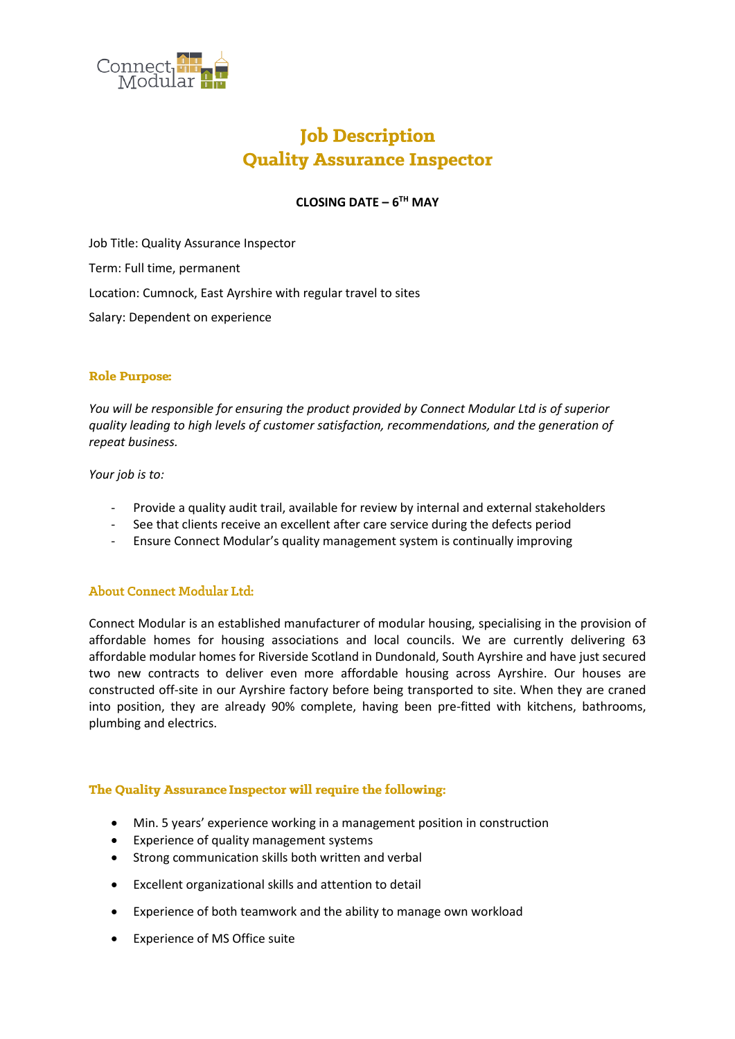

# **Job Description Quality Assurance Inspector**

# **CLOSING DATE – 6 TH MAY**

Job Title: Quality Assurance Inspector Term: Full time, permanent Location: Cumnock, East Ayrshire with regular travel to sites Salary: Dependent on experience

#### **Role Purpose:**

*You will be responsible for ensuring the product provided by Connect Modular Ltd is of superior quality leading to high levels of customer satisfaction, recommendations, and the generation of repeat business.*

*Your job is to:*

- Provide a quality audit trail, available for review by internal and external stakeholders
- See that clients receive an excellent after care service during the defects period
- Ensure Connect Modular's quality management system is continually improving

#### **About Connect Modular Ltd:**

Connect Modular is an established manufacturer of modular housing, specialising in the provision of affordable homes for housing associations and local councils. We are currently delivering 63 affordable modular homes for Riverside Scotland in Dundonald, South Ayrshire and have just secured two new contracts to deliver even more affordable housing across Ayrshire. Our houses are constructed off-site in our Ayrshire factory before being transported to site. When they are craned into position, they are already 90% complete, having been pre-fitted with kitchens, bathrooms, plumbing and electrics.

#### The Quality Assurance Inspector will require the following:

- Min. 5 years' experience working in a management position in construction
- Experience of quality management systems
- Strong communication skills both written and verbal
- Excellent organizational skills and attention to detail
- Experience of both teamwork and the ability to manage own workload
- Experience of MS Office suite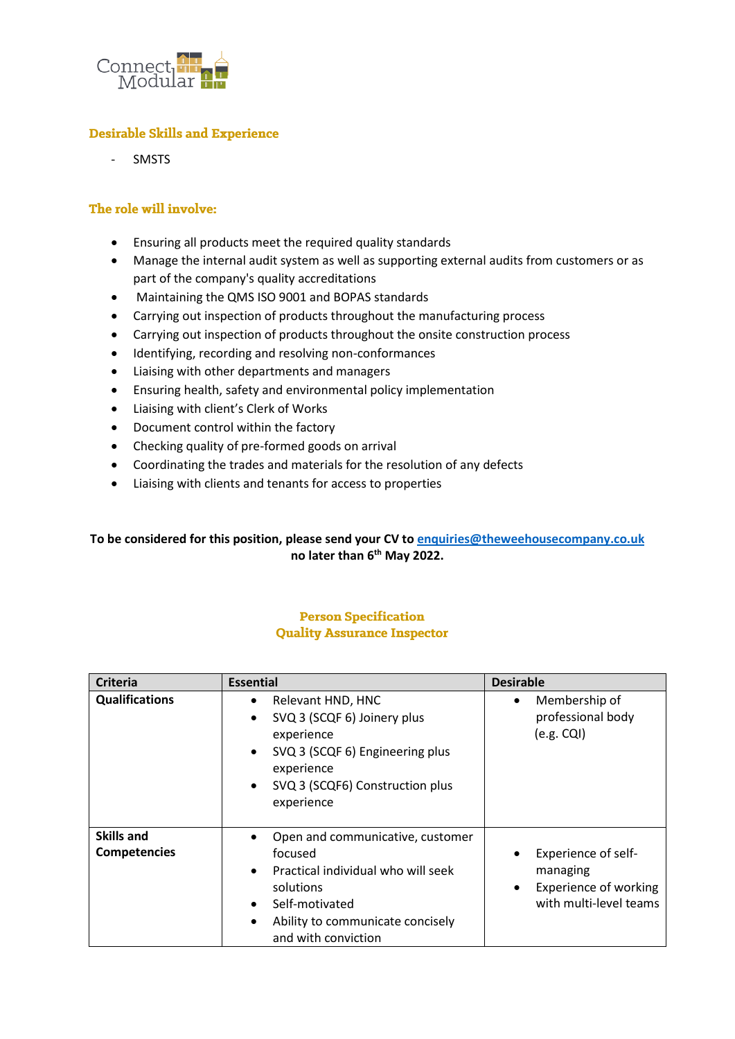

## **Desirable Skills and Experience**

**SMSTS** 

### The role will involve:

- Ensuring all products meet the required quality standards
- Manage the internal audit system as well as supporting external audits from customers or as part of the company's quality accreditations
- Maintaining the QMS ISO 9001 and BOPAS standards
- Carrying out inspection of products throughout the manufacturing process
- Carrying out inspection of products throughout the onsite construction process
- Identifying, recording and resolving non-conformances
- Liaising with other departments and managers
- Ensuring health, safety and environmental policy implementation
- Liaising with client's Clerk of Works
- Document control within the factory
- Checking quality of pre-formed goods on arrival
- Coordinating the trades and materials for the resolution of any defects
- Liaising with clients and tenants for access to properties

## **To be considered for this position, please send your CV to [enquiries@theweehousecompany.co.uk](mailto:enquiries@theweehousecompany.co.uk) no later than 6th May 2022.**

#### **Person Specification Quality Assurance Inspector**

| <b>Criteria</b>                          | <b>Essential</b>                                                                                                                                                                                                        | <b>Desirable</b>                                                                          |
|------------------------------------------|-------------------------------------------------------------------------------------------------------------------------------------------------------------------------------------------------------------------------|-------------------------------------------------------------------------------------------|
| <b>Qualifications</b>                    | Relevant HND, HNC<br>٠<br>SVQ 3 (SCQF 6) Joinery plus<br>$\bullet$<br>experience<br>SVQ 3 (SCQF 6) Engineering plus<br>$\bullet$<br>experience<br>SVQ 3 (SCQF6) Construction plus<br>$\bullet$<br>experience            | Membership of<br>٠<br>professional body<br>$(e.g. CQI)$                                   |
| <b>Skills and</b><br><b>Competencies</b> | Open and communicative, customer<br>٠<br>focused<br>Practical individual who will seek<br>$\bullet$<br>solutions<br>Self-motivated<br>$\bullet$<br>Ability to communicate concisely<br>$\bullet$<br>and with conviction | Experience of self-<br>managing<br><b>Experience of working</b><br>with multi-level teams |